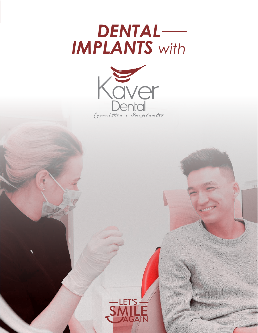



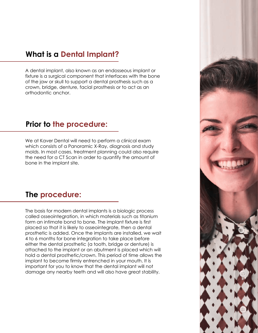## **What is a Dental Implant?**

A dental implant, also known as an endosseous implant or fixture is a surgical component that interfaces with the bone of the jaw or skull to support a dental prosthesis such as a crown, bridge, denture, facial prosthesis or to act as an orthodontic anchor.

### **Prior to the procedure:**

We at Kaver Dental will need to perform a clinical exam which consists of a Panoramic X-Ray, diagnosis and study molds. In most cases, treatment planning could also require the need for a CT Scan in order to quantify the amount of bone in the implant site.

## **The procedure:**

The basis for modern dental implants is a biologic process called osseointegration, in which materials such as titanium form an intimate bond to bone. The implant fixture is first placed so that it is likely to osseointegrate, then a dental prosthetic is added. Once the implants are installed, we wait 4 to 6 months for bone integration to take place before either the dental prosthetic (a tooth, bridge or denture) is attached to the implant or an abutment is placed which will hold a dental prosthetic/crown. This period of time allows the implant to become firmly entrenched in your mouth. It is important for you to know that the dental implant will not damage any nearby teeth and will also have great stability.

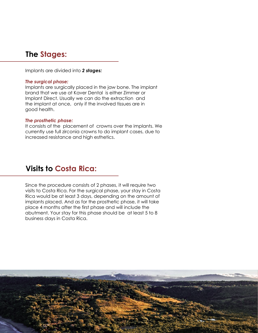## **The Stages:**

Implants are divided into *2 stages:*

#### *The surgical phase:*

Implants are surgically placed in the jaw bone. The implant brand that we use at Kaver Dental is either Zimmer or Implant Direct. Usually we can do the extraction and the implant at once, only if the involved tissues are in good health.

#### *The prosthetic phase:*

It consists of the placement of crowns over the implants. We currently use full zirconia crowns to do implant cases, due to increased resistance and high esthetics.

### **Visits to Costa Rica:**

Since the procedure consists of 2 phases, it will require two visits to Costa Rica. For the surgical phase, your stay in Costa Rica would be at least 3 days, depending on the amount of implants placed. And as for the prosthetic phase, it will take place 4 months after the first phase and will include the abutment. Your stay for this phase should be at least 5 to 8 business days in Costa Rica.

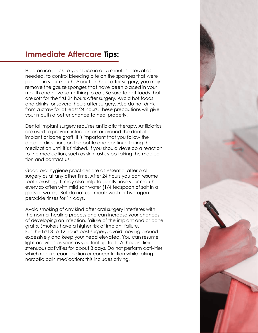## **Immediate Aftercare Tips:**

Hold an ice pack to your face in a 15 minutes interval as needed, to control bleeding bite on the sponges that were placed in your mouth. About an hour after surgery, you may remove the gauze sponges that have been placed in your mouth and have something to eat. Be sure to eat foods that are soft for the first 24 hours after surgery. Avoid hot foods and drinks for several hours after surgery. Also do not drink from a straw for at least 24 hours. These precautions will give your mouth a better chance to heal properly.

Dental implant surgery requires antibiotic therapy. Antibiotics are used to prevent infection on or around the dental implant or bone graft. It is important that you follow the dosage directions on the bottle and continue taking the medication until it's finished. If you should develop a reaction to the medication, such as skin rash, stop taking the medication and contact us.

Good oral hygiene practices are as essential after oral surgery as at any other time. After 24 hours you can resume tooth brushing. It may also help to gently rinse your mouth every so often with mild salt water (1/4 teaspoon of salt in a glass of water). But do not use mouthwash or hydrogen peroxide rinses for 14 days.

Avoid smoking of any kind after oral surgery interferes with the normal healing process and can increase your chances of developing an infection, failure of the implant and or bone grafts. Smokers have a higher risk of implant failure. For the first 8 to 12 hours post-surgery, avoid moving around excessively and keep your head elevated. You can resume light activities as soon as you feel up to it. Although, limit strenuous activities for about 3 days. Do not perform activities which require coordination or concentration while taking narcotic pain medication; this includes driving.

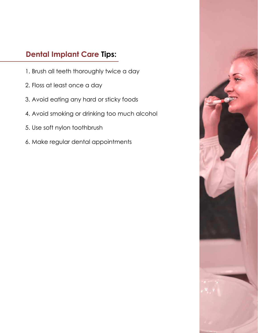# **Dental Implant Care Tips:**

- 1. Brush all teeth thoroughly twice a day
- 2. Floss at least once a day
- 3. Avoid eating any hard or sticky foods
- 4. Avoid smoking or drinking too much alcohol
- 5. Use soft nylon toothbrush
- 6. Make regular dental appointments